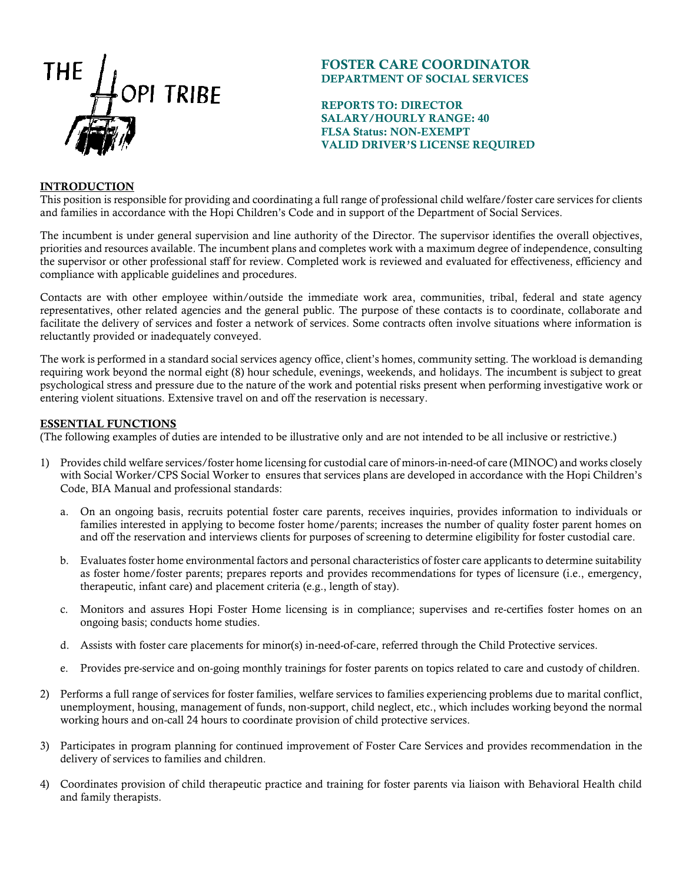

# FOSTER CARE COORDINATOR DEPARTMENT OF SOCIAL SERVICES

# REPORTS TO: DIRECTOR SALARY/HOURLY RANGE: 40 FLSA Status: NON-EXEMPT VALID DRIVER'S LICENSE REQUIRED

# **INTRODUCTION**

This position is responsible for providing and coordinating a full range of professional child welfare/foster care services for clients and families in accordance with the Hopi Children's Code and in support of the Department of Social Services.

The incumbent is under general supervision and line authority of the Director. The supervisor identifies the overall objectives, priorities and resources available. The incumbent plans and completes work with a maximum degree of independence, consulting the supervisor or other professional staff for review. Completed work is reviewed and evaluated for effectiveness, efficiency and compliance with applicable guidelines and procedures.

Contacts are with other employee within/outside the immediate work area, communities, tribal, federal and state agency representatives, other related agencies and the general public. The purpose of these contacts is to coordinate, collaborate and facilitate the delivery of services and foster a network of services. Some contracts often involve situations where information is reluctantly provided or inadequately conveyed.

The work is performed in a standard social services agency office, client's homes, community setting. The workload is demanding requiring work beyond the normal eight (8) hour schedule, evenings, weekends, and holidays. The incumbent is subject to great psychological stress and pressure due to the nature of the work and potential risks present when performing investigative work or entering violent situations. Extensive travel on and off the reservation is necessary.

## ESSENTIAL FUNCTIONS

(The following examples of duties are intended to be illustrative only and are not intended to be all inclusive or restrictive.)

- 1) Provides child welfare services/foster home licensing for custodial care of minors-in-need-of care (MINOC) and works closely with Social Worker/CPS Social Worker to ensures that services plans are developed in accordance with the Hopi Children's Code, BIA Manual and professional standards:
	- a. On an ongoing basis, recruits potential foster care parents, receives inquiries, provides information to individuals or families interested in applying to become foster home/parents; increases the number of quality foster parent homes on and off the reservation and interviews clients for purposes of screening to determine eligibility for foster custodial care.
	- b. Evaluates foster home environmental factors and personal characteristics of foster care applicants to determine suitability as foster home/foster parents; prepares reports and provides recommendations for types of licensure (i.e., emergency, therapeutic, infant care) and placement criteria (e.g., length of stay).
	- c. Monitors and assures Hopi Foster Home licensing is in compliance; supervises and re-certifies foster homes on an ongoing basis; conducts home studies.
	- d. Assists with foster care placements for minor(s) in-need-of-care, referred through the Child Protective services.
	- e. Provides pre-service and on-going monthly trainings for foster parents on topics related to care and custody of children.
- 2) Performs a full range of services for foster families, welfare services to families experiencing problems due to marital conflict, unemployment, housing, management of funds, non-support, child neglect, etc., which includes working beyond the normal working hours and on-call 24 hours to coordinate provision of child protective services.
- 3) Participates in program planning for continued improvement of Foster Care Services and provides recommendation in the delivery of services to families and children.
- 4) Coordinates provision of child therapeutic practice and training for foster parents via liaison with Behavioral Health child and family therapists.